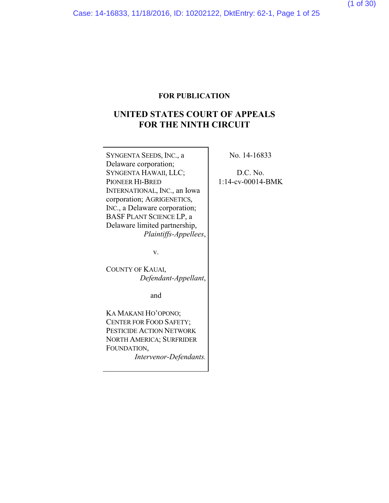## **FOR PUBLICATION**

# **UNITED STATES COURT OF APPEALS FOR THE NINTH CIRCUIT**

SYNGENTA SEEDS, INC., a Delaware corporation; SYNGENTA HAWAII, LLC; PIONEER HI-BRED INTERNATIONAL, INC., an Iowa corporation; AGRIGENETICS, INC., a Delaware corporation; BASF PLANT SCIENCE LP, a Delaware limited partnership, *Plaintiffs-Appellees*,

v.

COUNTY OF KAUAI, *Defendant-Appellant*,

and

KA MAKANI HO'OPONO; CENTER FOR FOOD SAFETY; PESTICIDE ACTION NETWORK NORTH AMERICA; SURFRIDER FOUNDATION,

*Intervenor-Defendants.*

No. 14-16833

D.C. No. 1:14-cv-00014-BMK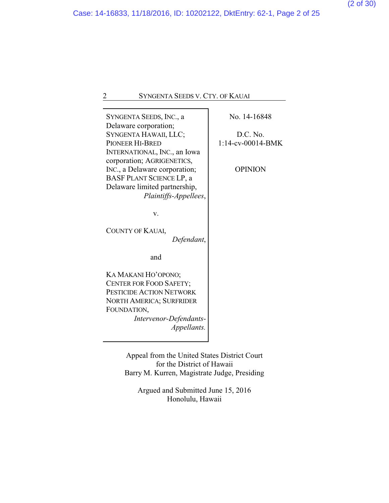SYNGENTA SEEDS, INC., a Delaware corporation; SYNGENTA HAWAII, LLC; PIONEER HI-BRED INTERNATIONAL, INC., an Iowa corporation; AGRIGENETICS, INC., a Delaware corporation; BASF PLANT SCIENCE LP, a Delaware limited partnership, *Plaintiffs-Appellees*,

v.

COUNTY OF KAUAI, *Defendant*,

and

KA MAKANI HO'OPONO; CENTER FOR FOOD SAFETY; PESTICIDE ACTION NETWORK NORTH AMERICA; SURFRIDER FOUNDATION, *Intervenor-Defendants-*

*Appellants.*

Appeal from the United States District Court for the District of Hawaii Barry M. Kurren, Magistrate Judge, Presiding

Argued and Submitted June 15, 2016 Honolulu, Hawaii

No. 14-16848

D.C. No. 1:14-cv-00014-BMK

OPINION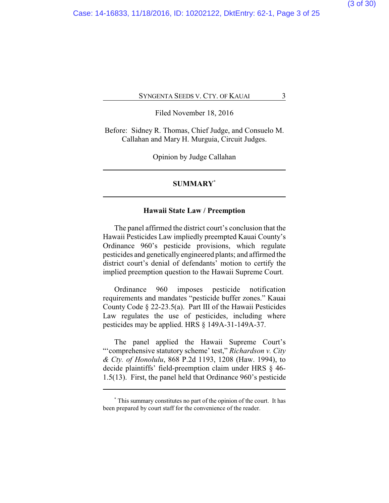Filed November 18, 2016

Before: Sidney R. Thomas, Chief Judge, and Consuelo M. Callahan and Mary H. Murguia, Circuit Judges.

Opinion by Judge Callahan

### **SUMMARY\***

### **Hawaii State Law / Preemption**

The panel affirmed the district court's conclusion that the Hawaii Pesticides Law impliedly preempted Kauai County's Ordinance 960's pesticide provisions, which regulate pesticides and genetically engineered plants; and affirmed the district court's denial of defendants' motion to certify the implied preemption question to the Hawaii Supreme Court.

Ordinance 960 imposes pesticide notification requirements and mandates "pesticide buffer zones." Kauai County Code § 22-23.5(a). Part III of the Hawaii Pesticides Law regulates the use of pesticides, including where pesticides may be applied. HRS § 149A-31-149A-37.

The panel applied the Hawaii Supreme Court's "'comprehensive statutory scheme' test," *Richardson v. City & Cty. of Honolulu*, 868 P.2d 1193, 1208 (Haw. 1994), to decide plaintiffs' field-preemption claim under HRS § 46- 1.5(13). First, the panel held that Ordinance 960's pesticide

**<sup>\*</sup>** This summary constitutes no part of the opinion of the court. It has been prepared by court staff for the convenience of the reader.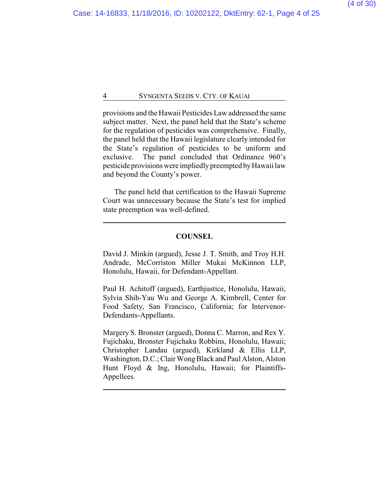provisions and the Hawaii Pesticides Law addressed the same subject matter. Next, the panel held that the State's scheme for the regulation of pesticides was comprehensive. Finally, the panel held that the Hawaii legislature clearly intended for the State's regulation of pesticides to be uniform and exclusive. The panel concluded that Ordinance 960's pesticide provisions were impliedly preempted by Hawaii law and beyond the County's power.

The panel held that certification to the Hawaii Supreme Court was unnecessary because the State's test for implied state preemption was well-defined.

## **COUNSEL**

David J. Minkin (argued), Jesse J. T. Smith, and Troy H.H. Andrade, McCorriston Miller Mukai McKinnon LLP, Honolulu, Hawaii, for Defendant-Appellant.

Paul H. Achitoff (argued), Earthjustice, Honolulu, Hawaii; Sylvia Shih-Yau Wu and George A. Kimbrell, Center for Food Safety, San Francisco, California; for Intervenor-Defendants-Appellants.

Margery S. Bronster (argued), Donna C. Marron, and Rex Y. Fujichaku, Bronster Fujichaku Robbins, Honolulu, Hawaii; Christopher Landau (argued), Kirkland & Ellis LLP, Washington, D.C.; Clair Wong Black and Paul Alston, Alston Hunt Floyd & Ing, Honolulu, Hawaii; for Plaintiffs-Appellees.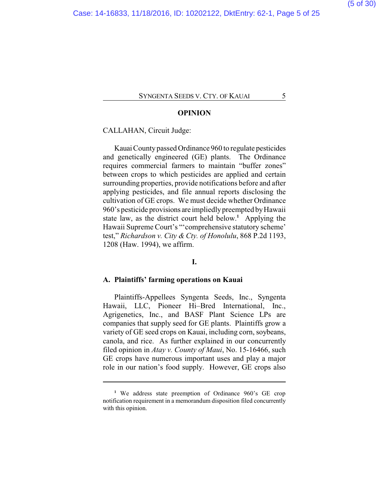### **OPINION**

CALLAHAN, Circuit Judge:

KauaiCountypassed Ordinance 960 to regulate pesticides and genetically engineered (GE) plants. The Ordinance requires commercial farmers to maintain "buffer zones" between crops to which pesticides are applied and certain surrounding properties, provide notifications before and after applying pesticides, and file annual reports disclosing the cultivation of GE crops. We must decide whether Ordinance 960's pesticide provisions are impliedly preempted byHawaii state law, as the district court held below.**<sup>1</sup>** Applying the Hawaii Supreme Court's "'comprehensive statutory scheme' test," *Richardson v. City & Cty. of Honolulu*, 868 P.2d 1193, 1208 (Haw. 1994), we affirm.

#### **I.**

### **A. Plaintiffs' farming operations on Kauai**

Plaintiffs-Appellees Syngenta Seeds, Inc., Syngenta Hawaii, LLC, Pioneer Hi–Bred International, Inc., Agrigenetics, Inc., and BASF Plant Science LPs are companies that supply seed for GE plants. Plaintiffs grow a variety of GE seed crops on Kauai, including corn, soybeans, canola, and rice. As further explained in our concurrently filed opinion in *Atay v. County of Maui*, No. 15-16466, such GE crops have numerous important uses and play a major role in our nation's food supply. However, GE crops also

**<sup>1</sup>** We address state preemption of Ordinance 960's GE crop notification requirement in a memorandum disposition filed concurrently with this opinion.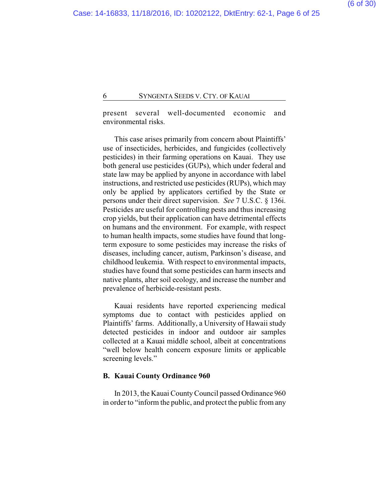present several well-documented economic and environmental risks.

This case arises primarily from concern about Plaintiffs' use of insecticides, herbicides, and fungicides (collectively pesticides) in their farming operations on Kauai. They use both general use pesticides (GUPs), which under federal and state law may be applied by anyone in accordance with label instructions, and restricted use pesticides (RUPs), which may only be applied by applicators certified by the State or persons under their direct supervision. *See* 7 U.S.C. § 136i. Pesticides are useful for controlling pests and thus increasing crop yields, but their application can have detrimental effects on humans and the environment. For example, with respect to human health impacts, some studies have found that longterm exposure to some pesticides may increase the risks of diseases, including cancer, autism, Parkinson's disease, and childhood leukemia. With respect to environmental impacts, studies have found that some pesticides can harm insects and native plants, alter soil ecology, and increase the number and prevalence of herbicide-resistant pests.

Kauai residents have reported experiencing medical symptoms due to contact with pesticides applied on Plaintiffs' farms. Additionally, a University of Hawaii study detected pesticides in indoor and outdoor air samples collected at a Kauai middle school, albeit at concentrations "well below health concern exposure limits or applicable screening levels."

### **B. Kauai County Ordinance 960**

In 2013, the Kauai CountyCouncil passed Ordinance 960 in order to "inform the public, and protect the public from any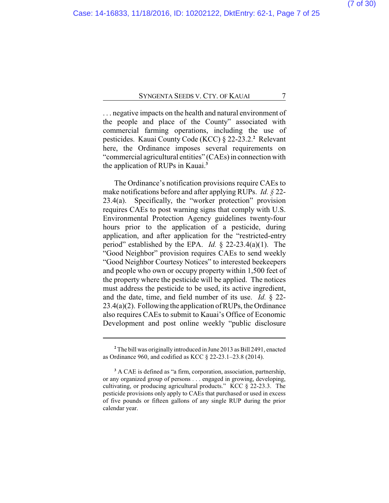. . . negative impacts on the health and natural environment of the people and place of the County" associated with commercial farming operations, including the use of pesticides. Kauai County Code (KCC) § 22-23.2.**<sup>2</sup>** Relevant here, the Ordinance imposes several requirements on "commercial agricultural entities" (CAEs) in connection with the application of RUPs in Kauai.**<sup>3</sup>**

The Ordinance's notification provisions require CAEs to make notifications before and after applying RUPs. *Id. §* 22- 23.4(a). Specifically, the "worker protection" provision requires CAEs to post warning signs that comply with U.S. Environmental Protection Agency guidelines twenty-four hours prior to the application of a pesticide, during application, and after application for the "restricted-entry period" established by the EPA. *Id.* § 22-23.4(a)(1). The "Good Neighbor" provision requires CAEs to send weekly "Good Neighbor Courtesy Notices" to interested beekeepers and people who own or occupy property within 1,500 feet of the property where the pesticide will be applied. The notices must address the pesticide to be used, its active ingredient, and the date, time, and field number of its use. *Id.* § 22- 23.4(a)(2). Following the application of RUPs, the Ordinance also requires CAEs to submit to Kauai's Office of Economic Development and post online weekly "public disclosure

**<sup>2</sup>** The bill was originally introduced in June 2013 as Bill 2491, enacted as Ordinance 960, and codified as KCC § 22-23.1–23.8 (2014).

**<sup>3</sup>** A CAE is defined as "a firm, corporation, association, partnership, or any organized group of persons . . . engaged in growing, developing, cultivating, or producing agricultural products." KCC § 22-23.3. The pesticide provisions only apply to CAEs that purchased or used in excess of five pounds or fifteen gallons of any single RUP during the prior calendar year.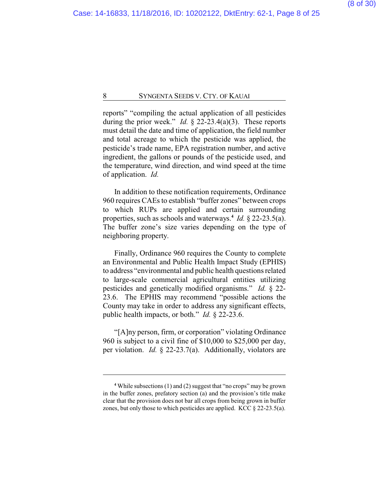reports" "compiling the actual application of all pesticides during the prior week." *Id.* § 22-23.4(a)(3). These reports must detail the date and time of application, the field number and total acreage to which the pesticide was applied, the pesticide's trade name, EPA registration number, and active ingredient, the gallons or pounds of the pesticide used, and the temperature, wind direction, and wind speed at the time of application. *Id.*

In addition to these notification requirements, Ordinance 960 requires CAEs to establish "buffer zones" between crops to which RUPs are applied and certain surrounding properties, such as schools and waterways.**<sup>4</sup>** *Id.* § 22-23.5(a). The buffer zone's size varies depending on the type of neighboring property.

Finally, Ordinance 960 requires the County to complete an Environmental and Public Health Impact Study (EPHIS) to address "environmental and public health questions related to large-scale commercial agricultural entities utilizing pesticides and genetically modified organisms." *Id.* § 22- 23.6. The EPHIS may recommend "possible actions the County may take in order to address any significant effects, public health impacts, or both." *Id.* § 22-23.6.

"[A]ny person, firm, or corporation" violating Ordinance 960 is subject to a civil fine of \$10,000 to \$25,000 per day, per violation. *Id.* § 22-23.7(a). Additionally, violators are

**<sup>4</sup>** While subsections (1) and (2) suggest that "no crops" may be grown in the buffer zones, prefatory section (a) and the provision's title make clear that the provision does not bar all crops from being grown in buffer zones, but only those to which pesticides are applied. KCC  $\S$  22-23.5(a).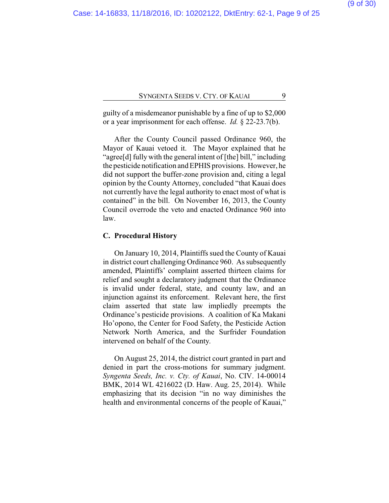guilty of a misdemeanor punishable by a fine of up to \$2,000 or a year imprisonment for each offense. *Id.* § 22-23.7(b).

After the County Council passed Ordinance 960, the Mayor of Kauai vetoed it. The Mayor explained that he "agree[d] fully with the general intent of [the] bill," including the pesticide notification and EPHIS provisions. However, he did not support the buffer-zone provision and, citing a legal opinion by the County Attorney, concluded "that Kauai does not currently have the legal authority to enact most of what is contained" in the bill. On November 16, 2013, the County Council overrode the veto and enacted Ordinance 960 into law.

## **C. Procedural History**

On January 10, 2014, Plaintiffs sued the County of Kauai in district court challenging Ordinance 960. As subsequently amended, Plaintiffs' complaint asserted thirteen claims for relief and sought a declaratory judgment that the Ordinance is invalid under federal, state, and county law, and an injunction against its enforcement. Relevant here, the first claim asserted that state law impliedly preempts the Ordinance's pesticide provisions. A coalition of Ka Makani Ho'opono, the Center for Food Safety, the Pesticide Action Network North America, and the Surfrider Foundation intervened on behalf of the County.

On August 25, 2014, the district court granted in part and denied in part the cross-motions for summary judgment. *Syngenta Seeds, Inc. v. Cty. of Kauai*, No. CIV. 14-00014 BMK, 2014 WL 4216022 (D. Haw. Aug. 25, 2014). While emphasizing that its decision "in no way diminishes the health and environmental concerns of the people of Kauai,"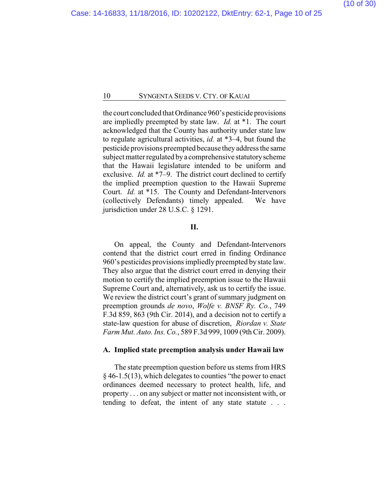the court concluded that Ordinance 960's pesticide provisions are impliedly preempted by state law. *Id.* at \*1. The court acknowledged that the County has authority under state law to regulate agricultural activities, *id.* at \*3–4, but found the pesticide provisions preempted because theyaddress the same subject matter regulated bya comprehensive statutoryscheme that the Hawaii legislature intended to be uniform and exclusive. *Id.* at \*7–9. The district court declined to certify the implied preemption question to the Hawaii Supreme Court. *Id.* at \*15. The County and Defendant-Intervenors (collectively Defendants) timely appealed. We have jurisdiction under 28 U.S.C. § 1291.

#### **II.**

On appeal, the County and Defendant-Intervenors contend that the district court erred in finding Ordinance 960's pesticides provisions impliedly preempted by state law. They also argue that the district court erred in denying their motion to certify the implied preemption issue to the Hawaii Supreme Court and, alternatively, ask us to certify the issue. We review the district court's grant of summary judgment on preemption grounds *de novo*, *Wolfe v. BNSF Ry. Co.*, 749 F.3d 859, 863 (9th Cir. 2014), and a decision not to certify a state-law question for abuse of discretion, *Riordan v. State Farm Mut. Auto. Ins. Co.*, 589 F.3d 999, 1009 (9th Cir. 2009).

#### **A. Implied state preemption analysis under Hawaii law**

The state preemption question before us stems from HRS § 46-1.5(13), which delegates to counties "the power to enact ordinances deemed necessary to protect health, life, and property . . . on any subject or matter not inconsistent with, or tending to defeat, the intent of any state statute . . .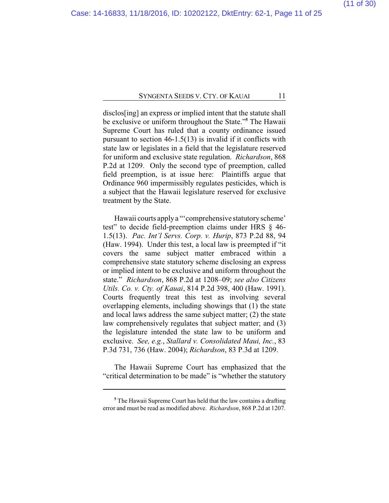disclos[ing] an express or implied intent that the statute shall be exclusive or uniform throughout the State."**<sup>5</sup>** The Hawaii Supreme Court has ruled that a county ordinance issued pursuant to section 46-1.5(13) is invalid if it conflicts with state law or legislates in a field that the legislature reserved for uniform and exclusive state regulation. *Richardson*, 868 P.2d at 1209. Only the second type of preemption, called field preemption, is at issue here: Plaintiffs argue that Ordinance 960 impermissibly regulates pesticides, which is a subject that the Hawaii legislature reserved for exclusive treatment by the State.

Hawaii courts apply a "'comprehensive statutory scheme' test" to decide field-preemption claims under HRS § 46- 1.5(13). *Pac. Int'l Servs. Corp. v. Hurip*, 873 P.2d 88, 94 (Haw. 1994). Under this test, a local law is preempted if "it covers the same subject matter embraced within a comprehensive state statutory scheme disclosing an express or implied intent to be exclusive and uniform throughout the state." *Richardson*, 868 P.2d at 1208–09; *see also Citizens Utils. Co. v. Cty. of Kauai*, 814 P.2d 398, 400 (Haw. 1991). Courts frequently treat this test as involving several overlapping elements, including showings that (1) the state and local laws address the same subject matter; (2) the state law comprehensively regulates that subject matter; and (3) the legislature intended the state law to be uniform and exclusive. *See, e.g.*, *Stallard v. Consolidated Maui, Inc.*, 83 P.3d 731, 736 (Haw. 2004); *Richardson*, 83 P.3d at 1209.

The Hawaii Supreme Court has emphasized that the "critical determination to be made" is "whether the statutory

**<sup>5</sup>** The Hawaii Supreme Court has held that the law contains a drafting error and must be read as modified above. *Richardson*, 868 P.2d at 1207.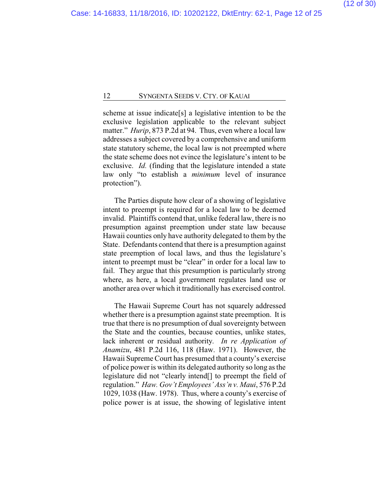scheme at issue indicate[s] a legislative intention to be the exclusive legislation applicable to the relevant subject matter." *Hurip*, 873 P.2d at 94. Thus, even where a local law addresses a subject covered by a comprehensive and uniform state statutory scheme, the local law is not preempted where the state scheme does not evince the legislature's intent to be exclusive. *Id.* (finding that the legislature intended a state law only "to establish a *minimum* level of insurance protection").

The Parties dispute how clear of a showing of legislative intent to preempt is required for a local law to be deemed invalid. Plaintiffs contend that, unlike federal law, there is no presumption against preemption under state law because Hawaii counties only have authority delegated to them by the State. Defendants contend that there is a presumption against state preemption of local laws, and thus the legislature's intent to preempt must be "clear" in order for a local law to fail. They argue that this presumption is particularly strong where, as here, a local government regulates land use or another area over which it traditionally has exercised control.

The Hawaii Supreme Court has not squarely addressed whether there is a presumption against state preemption. It is true that there is no presumption of dual sovereignty between the State and the counties, because counties, unlike states, lack inherent or residual authority. *In re Application of Anamizu*, 481 P.2d 116, 118 (Haw. 1971). However, the Hawaii Supreme Court has presumed that a county's exercise of police power is within its delegated authority so long as the legislature did not "clearly intend[] to preempt the field of regulation." *Haw. Gov't Employees' Ass'n v. Maui*, 576 P.2d 1029, 1038 (Haw. 1978). Thus, where a county's exercise of police power is at issue, the showing of legislative intent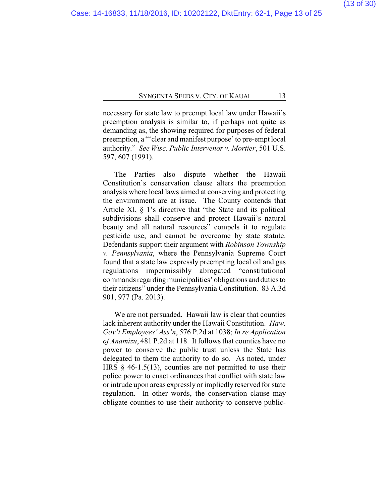necessary for state law to preempt local law under Hawaii's preemption analysis is similar to, if perhaps not quite as demanding as, the showing required for purposes of federal preemption, a "'clear and manifest purpose' to pre-empt local authority." *See Wisc. Public Intervenor v. Mortier*, 501 U.S. 597, 607 (1991).

The Parties also dispute whether the Hawaii Constitution's conservation clause alters the preemption analysis where local laws aimed at conserving and protecting the environment are at issue. The County contends that Article XI, § 1's directive that "the State and its political subdivisions shall conserve and protect Hawaii's natural beauty and all natural resources" compels it to regulate pesticide use, and cannot be overcome by state statute. Defendants support their argument with *Robinson Township v. Pennsylvania*, where the Pennsylvania Supreme Court found that a state law expressly preempting local oil and gas regulations impermissibly abrogated "constitutional commands regarding municipalities' obligations and duties to their citizens" under the Pennsylvania Constitution. 83 A.3d 901, 977 (Pa. 2013).

We are not persuaded. Hawaii law is clear that counties lack inherent authority under the Hawaii Constitution. *Haw. Gov't Employees' Ass'n*, 576 P.2d at 1038; *In re Application of Anamizu*, 481 P.2d at 118. It follows that counties have no power to conserve the public trust unless the State has delegated to them the authority to do so. As noted, under HRS  $\S$  46-1.5(13), counties are not permitted to use their police power to enact ordinances that conflict with state law or intrude upon areas expressly or impliedly reserved for state regulation. In other words, the conservation clause may obligate counties to use their authority to conserve public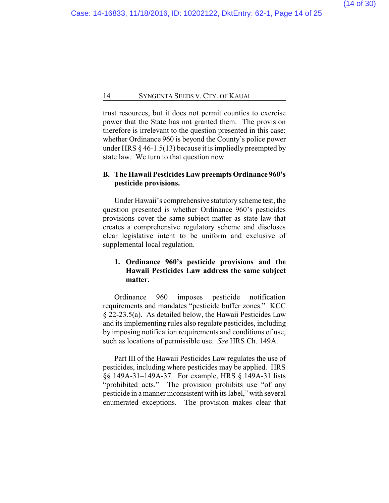trust resources, but it does not permit counties to exercise power that the State has not granted them. The provision therefore is irrelevant to the question presented in this case: whether Ordinance 960 is beyond the County's police power under HRS  $\S$  46-1.5(13) because it is impliedly preempted by state law. We turn to that question now.

## **B. The Hawaii Pesticides Law preempts Ordinance 960's pesticide provisions.**

Under Hawaii's comprehensive statutory scheme test, the question presented is whether Ordinance 960's pesticides provisions cover the same subject matter as state law that creates a comprehensive regulatory scheme and discloses clear legislative intent to be uniform and exclusive of supplemental local regulation.

## **1. Ordinance 960's pesticide provisions and the Hawaii Pesticides Law address the same subject matter.**

Ordinance 960 imposes pesticide notification requirements and mandates "pesticide buffer zones." KCC § 22-23.5(a). As detailed below, the Hawaii Pesticides Law and its implementing rules also regulate pesticides, including by imposing notification requirements and conditions of use, such as locations of permissible use. *See* HRS Ch. 149A.

Part III of the Hawaii Pesticides Law regulates the use of pesticides, including where pesticides may be applied. HRS §§ 149A-31–149A-37. For example, HRS § 149A-31 lists "prohibited acts." The provision prohibits use "of any pesticide in a manner inconsistent with its label," with several enumerated exceptions. The provision makes clear that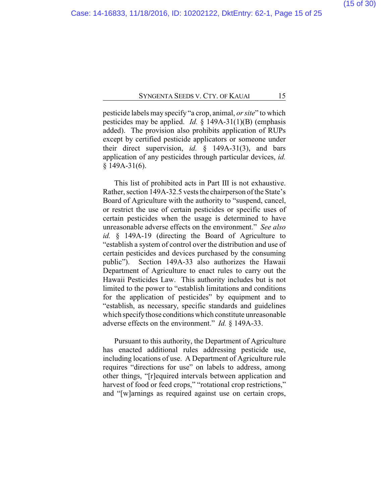pesticide labels may specify "a crop, animal, *or site*" to which pesticides may be applied. *Id.* § 149A-31(1)(B) (emphasis added). The provision also prohibits application of RUPs except by certified pesticide applicators or someone under their direct supervision, *id.* § 149A-31(3), and bars application of any pesticides through particular devices, *id.* § 149A-31(6).

This list of prohibited acts in Part III is not exhaustive. Rather, section 149A-32.5 vests the chairperson of the State's Board of Agriculture with the authority to "suspend, cancel, or restrict the use of certain pesticides or specific uses of certain pesticides when the usage is determined to have unreasonable adverse effects on the environment." *See also id.* § 149A-19 (directing the Board of Agriculture to "establish a system of control over the distribution and use of certain pesticides and devices purchased by the consuming public"). Section 149A-33 also authorizes the Hawaii Department of Agriculture to enact rules to carry out the Hawaii Pesticides Law. This authority includes but is not limited to the power to "establish limitations and conditions for the application of pesticides" by equipment and to "establish, as necessary, specific standards and guidelines which specify those conditions which constitute unreasonable adverse effects on the environment." *Id.* § 149A-33.

Pursuant to this authority, the Department of Agriculture has enacted additional rules addressing pesticide use, including locations of use. A Department of Agriculture rule requires "directions for use" on labels to address, among other things, "[r]equired intervals between application and harvest of food or feed crops," "rotational crop restrictions," and "[w]arnings as required against use on certain crops,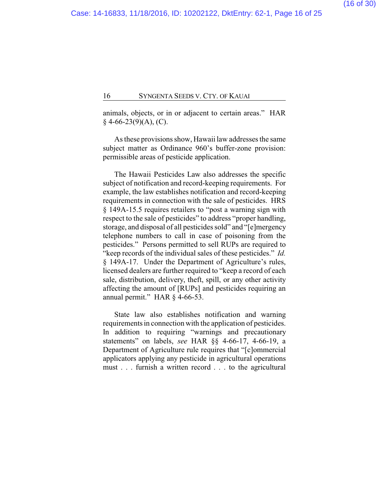animals, objects, or in or adjacent to certain areas." HAR  $§$  4-66-23(9)(A), (C).

As these provisions show, Hawaii law addresses the same subject matter as Ordinance 960's buffer-zone provision: permissible areas of pesticide application.

The Hawaii Pesticides Law also addresses the specific subject of notification and record-keeping requirements. For example, the law establishes notification and record-keeping requirements in connection with the sale of pesticides. HRS § 149A-15.5 requires retailers to "post a warning sign with respect to the sale of pesticides" to address "proper handling, storage, and disposal of all pesticides sold" and "[e]mergency telephone numbers to call in case of poisoning from the pesticides." Persons permitted to sell RUPs are required to "keep records of the individual sales of these pesticides." *Id.* § 149A-17. Under the Department of Agriculture's rules, licensed dealers are further required to "keep a record of each sale, distribution, delivery, theft, spill, or any other activity affecting the amount of [RUPs] and pesticides requiring an annual permit." HAR § 4-66-53.

State law also establishes notification and warning requirements in connection with the application of pesticides. In addition to requiring "warnings and precautionary statements" on labels, *see* HAR §§ 4-66-17, 4-66-19, a Department of Agriculture rule requires that "[c]ommercial applicators applying any pesticide in agricultural operations must . . . furnish a written record . . . to the agricultural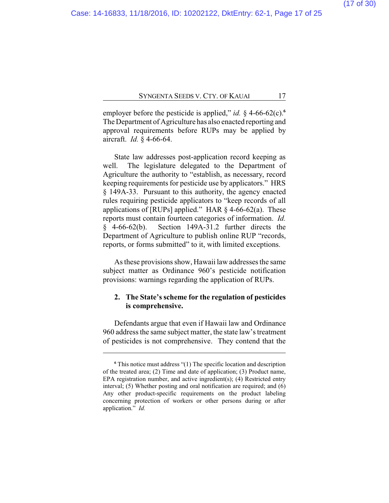employer before the pesticide is applied," *id.*  $\S$  4-66-62(c). The Department of Agriculture has also enacted reporting and approval requirements before RUPs may be applied by aircraft. *Id.* § 4-66-64.

State law addresses post-application record keeping as well. The legislature delegated to the Department of Agriculture the authority to "establish, as necessary, record keeping requirements for pesticide use by applicators." HRS § 149A-33. Pursuant to this authority, the agency enacted rules requiring pesticide applicators to "keep records of all applications of [RUPs] applied." HAR  $\S$  4-66-62(a). These reports must contain fourteen categories of information. *Id.* § 4-66-62(b). Section 149A-31.2 further directs the Department of Agriculture to publish online RUP "records, reports, or forms submitted" to it, with limited exceptions.

As these provisions show, Hawaii law addresses the same subject matter as Ordinance 960's pesticide notification provisions: warnings regarding the application of RUPs.

## **2. The State's scheme for the regulation of pesticides is comprehensive.**

Defendants argue that even if Hawaii law and Ordinance 960 address the same subject matter, the state law's treatment of pesticides is not comprehensive. They contend that the

**<sup>6</sup>** This notice must address "(1) The specific location and description of the treated area; (2) Time and date of application; (3) Product name, EPA registration number, and active ingredient(s); (4) Restricted entry interval; (5) Whether posting and oral notification are required; and (6) Any other product-specific requirements on the product labeling concerning protection of workers or other persons during or after application." *Id.*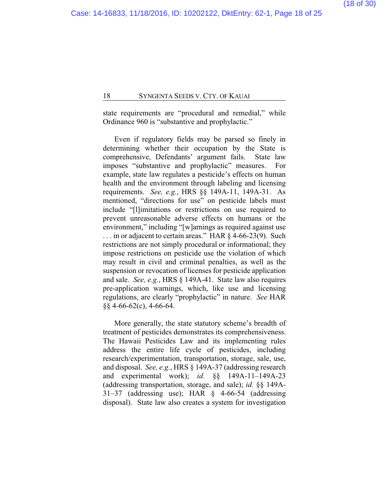state requirements are "procedural and remedial," while Ordinance 960 is "substantive and prophylactic."

Even if regulatory fields may be parsed so finely in determining whether their occupation by the State is comprehensive, Defendants' argument fails. State law imposes "substantive and prophylactic" measures. For example, state law regulates a pesticide's effects on human health and the environment through labeling and licensing requirements. *See, e.g.*, HRS §§ 149A-11, 149A-31. As mentioned, "directions for use" on pesticide labels must include "[l]imitations or restrictions on use required to prevent unreasonable adverse effects on humans or the environment," including "[w]arnings as required against use ... in or adjacent to certain areas." HAR § 4-66-23(9). Such restrictions are not simply procedural or informational; they impose restrictions on pesticide use the violation of which may result in civil and criminal penalties, as well as the suspension or revocation of licenses for pesticide application and sale. *See, e.g.*, HRS § 149A-41. State law also requires pre-application warnings, which, like use and licensing regulations, are clearly "prophylactic" in nature. *See* HAR §§ 4-66-62(c), 4-66-64.

More generally, the state statutory scheme's breadth of treatment of pesticides demonstrates its comprehensiveness. The Hawaii Pesticides Law and its implementing rules address the entire life cycle of pesticides, including research/experimentation, transportation, storage, sale, use, and disposal. *See, e.g.*, HRS § 149A-37 (addressing research and experimental work); *id.* §§ 149A-11–149A-23 (addressing transportation, storage, and sale); *id.* §§ 149A-31–37 (addressing use); HAR § 4-66-54 (addressing disposal). State law also creates a system for investigation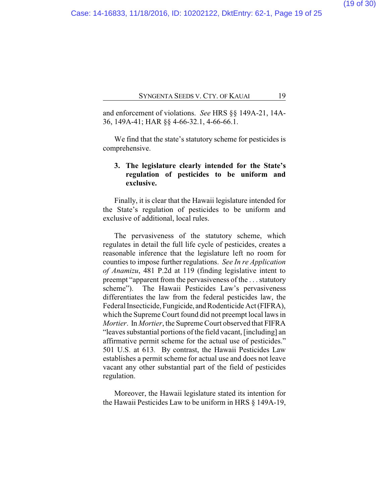and enforcement of violations. *See* HRS §§ 149A-21, 14A-36, 149A-41; HAR §§ 4-66-32.1, 4-66-66.1.

We find that the state's statutory scheme for pesticides is comprehensive.

## **3. The legislature clearly intended for the State's regulation of pesticides to be uniform and exclusive.**

Finally, it is clear that the Hawaii legislature intended for the State's regulation of pesticides to be uniform and exclusive of additional, local rules.

The pervasiveness of the statutory scheme, which regulates in detail the full life cycle of pesticides, creates a reasonable inference that the legislature left no room for counties to impose further regulations. *See In re Application of Anamizu*, 481 P.2d at 119 (finding legislative intent to preempt "apparent from the pervasiveness of the . . . statutory scheme"). The Hawaii Pesticides Law's pervasiveness differentiates the law from the federal pesticides law, the Federal Insecticide, Fungicide, and Rodenticide Act (FIFRA), which the Supreme Court found did not preempt local laws in *Mortier*. In *Mortier*, the Supreme Court observed that FIFRA "leaves substantial portions of the field vacant, [including] an affirmative permit scheme for the actual use of pesticides." 501 U.S. at 613*.* By contrast, the Hawaii Pesticides Law establishes a permit scheme for actual use and does not leave vacant any other substantial part of the field of pesticides regulation.

Moreover, the Hawaii legislature stated its intention for the Hawaii Pesticides Law to be uniform in HRS § 149A-19,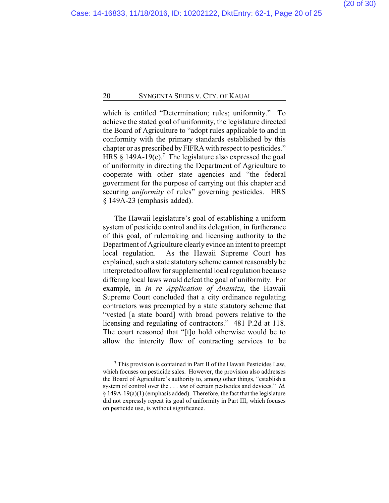which is entitled "Determination; rules; uniformity." To achieve the stated goal of uniformity, the legislature directed the Board of Agriculture to "adopt rules applicable to and in conformity with the primary standards established by this chapter or as prescribed by FIFRA with respect to pesticides." HRS § 149A-19(c).**<sup>7</sup>** The legislature also expressed the goal of uniformity in directing the Department of Agriculture to cooperate with other state agencies and "the federal government for the purpose of carrying out this chapter and securing *uniformity* of rules" governing pesticides. HRS § 149A-23 (emphasis added).

The Hawaii legislature's goal of establishing a uniform system of pesticide control and its delegation, in furtherance of this goal, of rulemaking and licensing authority to the Department of Agriculture clearly evince an intent to preempt local regulation. As the Hawaii Supreme Court has explained, such a state statutory scheme cannot reasonably be interpreted to allow for supplemental local regulation because differing local laws would defeat the goal of uniformity. For example, in *In re Application of Anamizu*, the Hawaii Supreme Court concluded that a city ordinance regulating contractors was preempted by a state statutory scheme that "vested [a state board] with broad powers relative to the licensing and regulating of contractors." 481 P.2d at 118. The court reasoned that "[t]o hold otherwise would be to allow the intercity flow of contracting services to be

**<sup>7</sup>** This provision is contained in Part II of the Hawaii Pesticides Law, which focuses on pesticide sales. However, the provision also addresses the Board of Agriculture's authority to, among other things, "establish a system of control over the . . . *use* of certain pesticides and devices." *Id.* § 149A-19(a)(1) (emphasis added). Therefore, the fact that the legislature did not expressly repeat its goal of uniformity in Part III, which focuses on pesticide use, is without significance.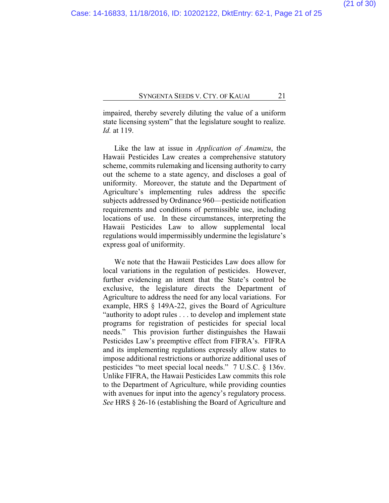impaired, thereby severely diluting the value of a uniform state licensing system" that the legislature sought to realize. *Id.* at 119.

Like the law at issue in *Application of Anamizu*, the Hawaii Pesticides Law creates a comprehensive statutory scheme, commits rulemaking and licensing authority to carry out the scheme to a state agency, and discloses a goal of uniformity. Moreover, the statute and the Department of Agriculture's implementing rules address the specific subjects addressed by Ordinance 960—pesticide notification requirements and conditions of permissible use, including locations of use. In these circumstances, interpreting the Hawaii Pesticides Law to allow supplemental local regulations would impermissibly undermine the legislature's express goal of uniformity.

We note that the Hawaii Pesticides Law does allow for local variations in the regulation of pesticides. However, further evidencing an intent that the State's control be exclusive, the legislature directs the Department of Agriculture to address the need for any local variations. For example, HRS § 149A-22, gives the Board of Agriculture "authority to adopt rules . . . to develop and implement state programs for registration of pesticides for special local needs." This provision further distinguishes the Hawaii Pesticides Law's preemptive effect from FIFRA's. FIFRA and its implementing regulations expressly allow states to impose additional restrictions or authorize additional uses of pesticides "to meet special local needs." 7 U.S.C. § 136v. Unlike FIFRA, the Hawaii Pesticides Law commits this role to the Department of Agriculture, while providing counties with avenues for input into the agency's regulatory process. *See* HRS § 26-16 (establishing the Board of Agriculture and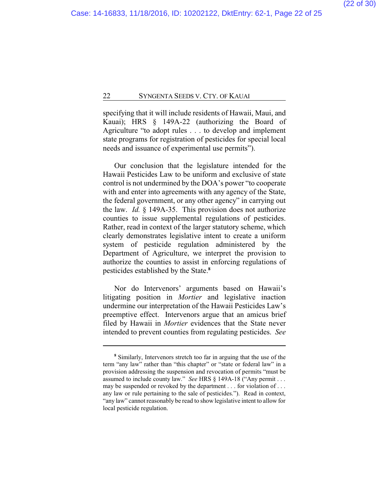specifying that it will include residents of Hawaii, Maui, and Kauai); HRS § 149A-22 (authorizing the Board of Agriculture "to adopt rules . . . to develop and implement state programs for registration of pesticides for special local needs and issuance of experimental use permits").

Our conclusion that the legislature intended for the Hawaii Pesticides Law to be uniform and exclusive of state control is not undermined by the DOA's power "to cooperate with and enter into agreements with any agency of the State, the federal government, or any other agency" in carrying out the law. *Id.* § 149A-35. This provision does not authorize counties to issue supplemental regulations of pesticides. Rather, read in context of the larger statutory scheme, which clearly demonstrates legislative intent to create a uniform system of pesticide regulation administered by the Department of Agriculture, we interpret the provision to authorize the counties to assist in enforcing regulations of pesticides established by the State.**<sup>8</sup>**

Nor do Intervenors' arguments based on Hawaii's litigating position in *Mortier* and legislative inaction undermine our interpretation of the Hawaii Pesticides Law's preemptive effect. Intervenors argue that an amicus brief filed by Hawaii in *Mortier* evidences that the State never intended to prevent counties from regulating pesticides. *See*

**<sup>8</sup>** Similarly, Intervenors stretch too far in arguing that the use of the term "any law" rather than "this chapter" or "state or federal law" in a provision addressing the suspension and revocation of permits "must be assumed to include county law." *See* HRS § 149A-18 ("Any permit . . . may be suspended or revoked by the department . . . for violation of . . . any law or rule pertaining to the sale of pesticides."). Read in context, "any law" cannot reasonably be read to show legislative intent to allow for local pesticide regulation.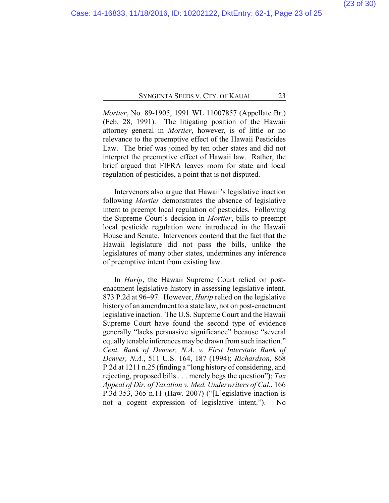*Mortier*, No. 89-1905, 1991 WL 11007857 (Appellate Br.) (Feb. 28, 1991). The litigating position of the Hawaii attorney general in *Mortier*, however, is of little or no relevance to the preemptive effect of the Hawaii Pesticides Law. The brief was joined by ten other states and did not interpret the preemptive effect of Hawaii law. Rather, the brief argued that FIFRA leaves room for state and local regulation of pesticides, a point that is not disputed.

Intervenors also argue that Hawaii's legislative inaction following *Mortier* demonstrates the absence of legislative intent to preempt local regulation of pesticides. Following the Supreme Court's decision in *Mortier*, bills to preempt local pesticide regulation were introduced in the Hawaii House and Senate. Intervenors contend that the fact that the Hawaii legislature did not pass the bills, unlike the legislatures of many other states, undermines any inference of preemptive intent from existing law.

In *Hurip*, the Hawaii Supreme Court relied on postenactment legislative history in assessing legislative intent. 873 P.2d at 96–97. However, *Hurip* relied on the legislative history of an amendment to a state law, not on post-enactment legislative inaction. The U.S. Supreme Court and the Hawaii Supreme Court have found the second type of evidence generally "lacks persuasive significance" because "several equally tenable inferences may be drawn from such inaction." *Cent. Bank of Denver, N.A. v. First Interstate Bank of Denver, N.A.*, 511 U.S. 164, 187 (1994); *Richardson*, 868 P.2d at 1211 n.25 (finding a "long history of considering, and rejecting, proposed bills . . . merely begs the question"); *Tax Appeal of Dir. of Taxation v. Med. Underwriters of Cal.*, 166 P.3d 353, 365 n.11 (Haw. 2007) ("[L]egislative inaction is not a cogent expression of legislative intent."). No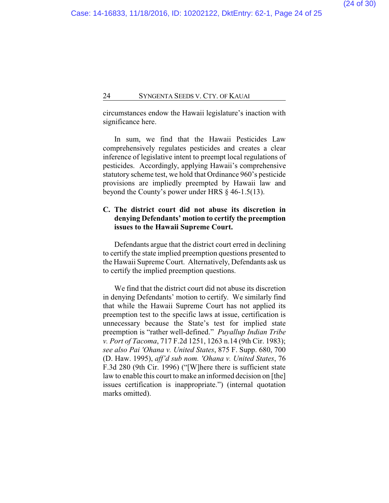circumstances endow the Hawaii legislature's inaction with significance here.

In sum, we find that the Hawaii Pesticides Law comprehensively regulates pesticides and creates a clear inference of legislative intent to preempt local regulations of pesticides. Accordingly, applying Hawaii's comprehensive statutory scheme test, we hold that Ordinance 960's pesticide provisions are impliedly preempted by Hawaii law and beyond the County's power under HRS § 46-1.5(13).

## **C. The district court did not abuse its discretion in denying Defendants' motion to certify the preemption issues to the Hawaii Supreme Court.**

Defendants argue that the district court erred in declining to certify the state implied preemption questions presented to the Hawaii Supreme Court. Alternatively, Defendants ask us to certify the implied preemption questions.

We find that the district court did not abuse its discretion in denying Defendants' motion to certify. We similarly find that while the Hawaii Supreme Court has not applied its preemption test to the specific laws at issue, certification is unnecessary because the State's test for implied state preemption is "rather well-defined." *Puyallup Indian Tribe v. Port of Tacoma*, 717 F.2d 1251, 1263 n.14 (9th Cir. 1983); *see also Pai 'Ohana v. United States*, 875 F. Supp. 680, 700 (D. Haw. 1995), *aff'd sub nom. 'Ohana v. United States*, 76 F.3d 280 (9th Cir. 1996) ("[W]here there is sufficient state law to enable this court to make an informed decision on [the] issues certification is inappropriate.") (internal quotation marks omitted).